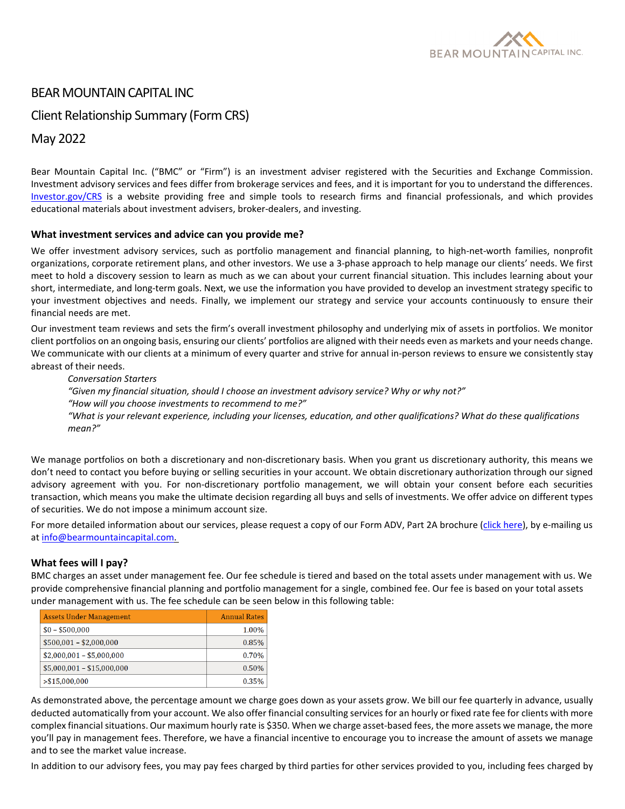

## BEAR MOUNTAIN CAPITAL INC

# Client Relationship Summary (Form CRS)

May 2022

Bear Mountain Capital Inc. ("BMC" or "Firm") is an investment adviser registered with the Securities and Exchange Commission. Investment advisory services and fees differ from brokerage services and fees, and it is important for you to understand the differences. [Investor.gov/CRS](http://www.investor.gov/CRS) is a website providing free and simple tools to research firms and financial professionals, and which provides educational materials about investment advisers, broker-dealers, and investing.

#### **What investment services and advice can you provide me?**

We offer investment advisory services, such as portfolio management and financial planning, to high-net-worth families, nonprofit organizations, corporate retirement plans, and other investors. We use a 3-phase approach to help manage our clients' needs. We first meet to hold a discovery session to learn as much as we can about your current financial situation. This includes learning about your short, intermediate, and long-term goals. Next, we use the information you have provided to develop an investment strategy specific to your investment objectives and needs. Finally, we implement our strategy and service your accounts continuously to ensure their financial needs are met.

Our investment team reviews and sets the firm's overall investment philosophy and underlying mix of assets in portfolios. We monitor client portfolios on an ongoing basis, ensuring our clients' portfolios are aligned with their needs even as markets and your needs change. We communicate with our clients at a minimum of every quarter and strive for annual in-person reviews to ensure we consistently stay abreast of their needs.

*Conversation Starters "Given my financial situation, should I choose an investment advisory service? Why or why not?" "How will you choose investments to recommend to me?" "What is your relevant experience, including your licenses, education, and other qualifications? What do these qualifications mean?"*

We manage portfolios on both a discretionary and non-discretionary basis. When you grant us discretionary authority, this means we don't need to contact you before buying or selling securities in your account. We obtain discretionary authorization through our signed advisory agreement with you. For non-discretionary portfolio management, we will obtain your consent before each securities transaction, which means you make the ultimate decision regarding all buys and sells of investments. We offer advice on different types of securities. We do not impose a minimum account size.

For more detailed information about our services, please request a copy of our Form ADV, Part 2A brochure [\(click here\)](https://files.adviserinfo.sec.gov/IAPD/Content/Common/crd_iapd_Brochure.aspx?BRCHR_VRSN_ID=783182), by e-mailing us at [info@bearmountaincapital.com.](mailto:info@bearmountaincapital.com)

## **What fees will I pay?**

BMC charges an asset under management fee. Our fee schedule is tiered and based on the total assets under management with us. We provide comprehensive financial planning and portfolio management for a single, combined fee. Our fee is based on your total assets under management with us. The fee schedule can be seen below in this following table:

| <b>Assets Under Management</b> | <b>Annual Rates</b> |
|--------------------------------|---------------------|
| $$0 - $500,000$                | 1.00%               |
| $$500,001 - $2,000,000$        | 0.85%               |
| $$2,000,001 - $5,000,000$      | 0.70%               |
| $$5,000,001 - $15,000,000$     | 0.50%               |
| > \$15,000,000                 | 0.35%               |

As demonstrated above, the percentage amount we charge goes down as your assets grow. We bill our fee quarterly in advance, usually deducted automatically from your account. We also offer financial consulting services for an hourly or fixed rate fee for clients with more complex financial situations. Our maximum hourly rate is \$350. When we charge asset-based fees, the more assets we manage, the more you'll pay in management fees. Therefore, we have a financial incentive to encourage you to increase the amount of assets we manage and to see the market value increase.

In addition to our advisory fees, you may pay fees charged by third parties for other services provided to you, including fees charged by